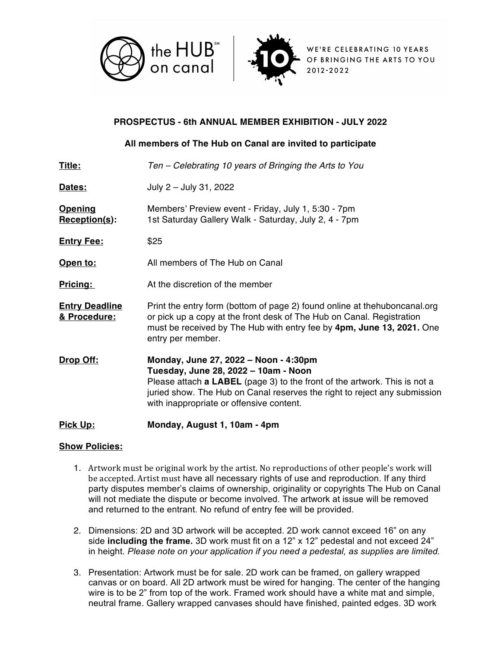



WE'RE CELEBRATING 10 YEARS OF BRINGING THE ARTS TO YOU 2012-2022

# **PROSPECTUS - 6th ANNUAL MEMBER EXHIBITION - JULY 2022**

### **All members of The Hub on Canal are invited to participate**

| <b>Pick Up:</b>                       | Monday, August 1, 10am - 4pm                                                                                                                                                                                                                                                               |
|---------------------------------------|--------------------------------------------------------------------------------------------------------------------------------------------------------------------------------------------------------------------------------------------------------------------------------------------|
| Drop Off:                             | Monday, June 27, 2022 - Noon - 4:30pm<br>Tuesday, June 28, 2022 - 10am - Noon<br>Please attach <b>a LABEL</b> (page 3) to the front of the artwork. This is not a<br>juried show. The Hub on Canal reserves the right to reject any submission<br>with inappropriate or offensive content. |
| <b>Entry Deadline</b><br>& Procedure: | Print the entry form (bottom of page 2) found online at the huboncanal org<br>or pick up a copy at the front desk of The Hub on Canal. Registration<br>must be received by The Hub with entry fee by 4pm, June 13, 2021. One<br>entry per member.                                          |
| Pricing:                              | At the discretion of the member                                                                                                                                                                                                                                                            |
| Open to:                              | All members of The Hub on Canal                                                                                                                                                                                                                                                            |
| <b>Entry Fee:</b>                     | \$25                                                                                                                                                                                                                                                                                       |
| <b>Opening</b><br>Reception(s):       | Members' Preview event - Friday, July 1, 5:30 - 7pm<br>1st Saturday Gallery Walk - Saturday, July 2, 4 - 7pm                                                                                                                                                                               |
| Dates:                                | July 2 - July 31, 2022                                                                                                                                                                                                                                                                     |
| <u>Title:</u>                         | Ten – Celebrating 10 years of Bringing the Arts to You                                                                                                                                                                                                                                     |

### **Show Policies:**

- 1. Artwork must be original work by the artist. No reproductions of other people's work will be accepted. Artist must have all necessary rights of use and reproduction. If any third party disputes member's claims of ownership, originality or copyrights The Hub on Canal will not mediate the dispute or become involved. The artwork at issue will be removed and returned to the entrant. No refund of entry fee will be provided.
- 2. Dimensions: 2D and 3D artwork will be accepted. 2D work cannot exceed 16" on any side **including the frame.** 3D work must fit on a 12" x 12" pedestal and not exceed 24" in height. *Please note on your application if you need a pedestal, as supplies are limited.*
- 3. Presentation: Artwork must be for sale. 2D work can be framed, on gallery wrapped canvas or on board. All 2D artwork must be wired for hanging. The center of the hanging wire is to be 2" from top of the work. Framed work should have a white mat and simple, neutral frame. Gallery wrapped canvases should have finished, painted edges. 3D work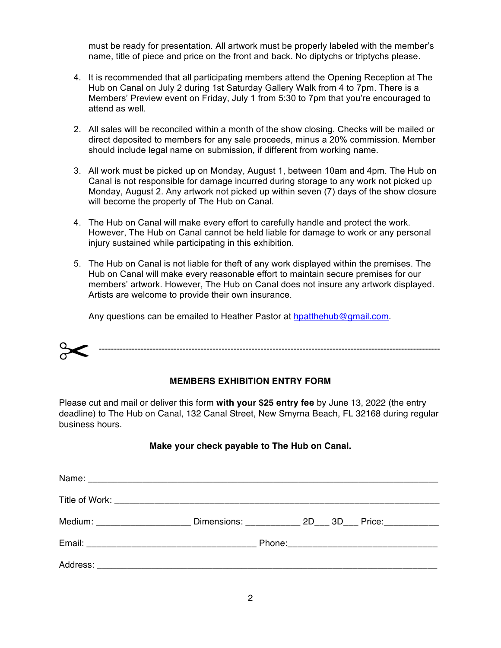must be ready for presentation. All artwork must be properly labeled with the member's name, title of piece and price on the front and back. No diptychs or triptychs please.

- 4. It is recommended that all participating members attend the Opening Reception at The Hub on Canal on July 2 during 1st Saturday Gallery Walk from 4 to 7pm. There is a Members' Preview event on Friday, July 1 from 5:30 to 7pm that you're encouraged to attend as well.
- 2. All sales will be reconciled within a month of the show closing. Checks will be mailed or direct deposited to members for any sale proceeds, minus a 20% commission. Member should include legal name on submission, if different from working name.
- 3. All work must be picked up on Monday, August 1, between 10am and 4pm. The Hub on Canal is not responsible for damage incurred during storage to any work not picked up Monday, August 2. Any artwork not picked up within seven (7) days of the show closure will become the property of The Hub on Canal.
- 4. The Hub on Canal will make every effort to carefully handle and protect the work. However, The Hub on Canal cannot be held liable for damage to work or any personal injury sustained while participating in this exhibition.
- 5. The Hub on Canal is not liable for theft of any work displayed within the premises. The Hub on Canal will make every reasonable effort to maintain secure premises for our members' artwork. However, The Hub on Canal does not insure any artwork displayed. Artists are welcome to provide their own insurance.

Any questions can be emailed to Heather Pastor at hpatthehub@gmail.com.

------------------------------------------------------------------------------------------------------------------

#### **MEMBERS EXHIBITION ENTRY FORM**

Please cut and mail or deliver this form **with your \$25 entry fee** by June 13, 2022 (the entry deadline) to The Hub on Canal, 132 Canal Street, New Smyrna Beach, FL 32168 during regular business hours.

#### **Make your check payable to The Hub on Canal.**

| Medium: ______________________ |  |  | Dimensions: 2D 3D Price: |
|--------------------------------|--|--|--------------------------|
|                                |  |  |                          |
|                                |  |  |                          |